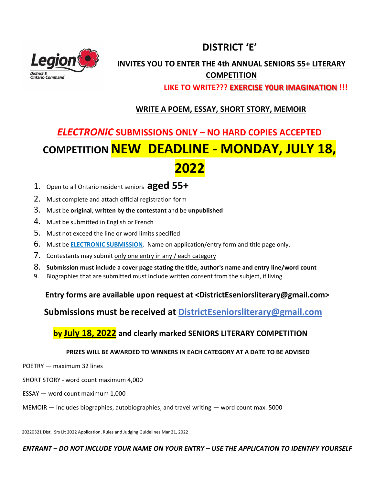## **DISTRICT 'E'**



### **INVITES YOU TO ENTER THE 4th ANNUAL SENIORS 55+ LITERARY COMPETITION**

 **LIKE TO WRITE??? EXERCISE Y0UR IMAGINATION !!!**

### **WRITE A POEM, ESSAY, SHORT STORY, MEMOIR**

# *ELECTRONIC* **SUBMISSIONS ONLY – NO HARD COPIES ACCEPTED COMPETITION NEW DEADLINE - MONDAY, JULY 18, 2022**

- 1. Open to all Ontario resident seniors **aged 55+**
- 2. Must complete and attach official registration form
- 3. Must be **original**, **written by the contestant** and be **unpublished**
- 4. Must be submitted in English or French
- 5. Must not exceed the line or word limits specified
- 6. Must be **ELECTRONIC SUBMISSION**. Name on application/entry form and title page only.
- 7. Contestants may submit only one entry in any / each category
- 8. **Submission must include a cover page stating the title, author's name and entry line/word count**
- 9. Biographies that are submitted must include written consent from the subject, if living.

**Entry forms are available upon request at <DistrictEseniorsliterary@gmail.com>**

**Submissions must be received at DistrictEseniorsliterary@gmail.com**

### **by July 18, 2022 and clearly marked SENIORS LITERARY COMPETITION**

#### **PRIZES WILL BE AWARDED TO WINNERS IN EACH CATEGORY AT A DATE TO BE ADVISED**

- POETRY maximum 32 lines
- SHORT STORY word count maximum 4,000
- ESSAY word count maximum 1,000
- MEMOIR includes biographies, autobiographies, and travel writing word count max. 5000

20220321 Dist. Srs Lit 2022 Application, Rules and Judging Guidelines Mar 21, 2022

*ENTRANT – DO NOT INCLUDE YOUR NAME ON YOUR ENTRY – USE THE APPLICATION TO IDENTIFY YOURSELF*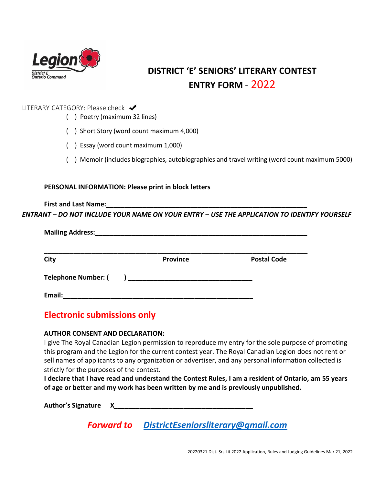

## **DISTRICT 'E' SENIORS' LITERARY CONTEST ENTRY FORM** - 2022

#### LITERARY CATEGORY: Please check ↓

- ( )Poetry (maximum 32 lines)
- ( ) Short Story (word count maximum 4,000)
- ( ) Essay (word count maximum 1,000)
- ( ) Memoir (includes biographies, autobiographies and travel writing (word count maximum 5000)

#### **PERSONAL INFORMATION: Please print in block letters**

**First and Last Name:** *ENTRANT – DO NOT INCLUDE YOUR NAME ON YOUR ENTRY – USE THE APPLICATION TO IDENTIFY YOURSELF*

| <b>Mailing Address:</b>    |                          |                    |
|----------------------------|--------------------------|--------------------|
| City                       | <b>Province</b>          | <b>Postal Code</b> |
| <b>Telephone Number: (</b> | $\overline{\phantom{a}}$ |                    |
| Email:                     |                          |                    |

## **Electronic submissions only**

#### **AUTHOR CONSENT AND DECLARATION:**

I give The Royal Canadian Legion permission to reproduce my entry for the sole purpose of promoting this program and the Legion for the current contest year. The Royal Canadian Legion does not rent or sell names of applicants to any organization or advertiser, and any personal information collected is strictly for the purposes of the contest.

**I declare that I have read and understand the Contest Rules, I am a resident of Ontario, am 55 years of age or better and my work has been written by me and is previously unpublished.**

**Author's Signature****X***\_\_\_\_\_\_\_\_\_\_\_\_\_\_\_\_\_\_\_\_\_\_\_\_\_\_\_\_\_\_\_\_\_\_\_\_\_\_*

*Forward to [DistrictEseniorsliterary@gmail.com](mailto:DistrictEseniorsliterary@gmail.com)*